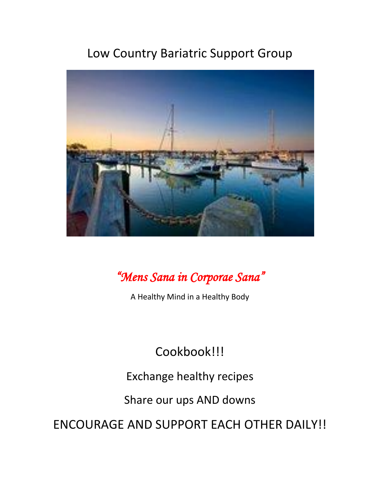# Low Country Bariatric Support Group



# *"Mens Sana in Corporae Sana"*

A Healthy Mind in a Healthy Body

# Cookbook!!!

Exchange healthy recipes

Share our ups AND downs

ENCOURAGE AND SUPPORT EACH OTHER DAILY!!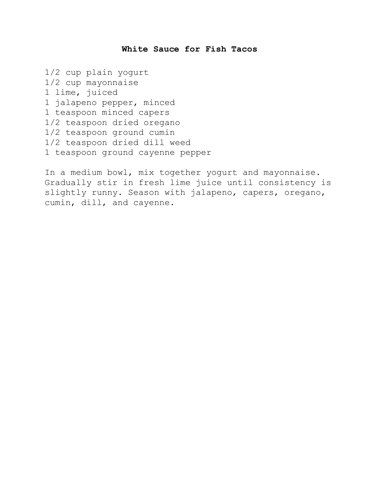#### **White Sauce for Fish Tacos**

1/2 cup plain yogurt 1/2 cup mayonnaise 1 lime, juiced 1 jalapeno pepper, minced 1 teaspoon minced capers 1/2 teaspoon dried oregano 1/2 teaspoon ground cumin 1/2 teaspoon dried dill weed 1 teaspoon ground cayenne pepper

In a medium bowl, mix together yogurt and mayonnaise. Gradually stir in fresh lime juice until consistency is slightly runny. Season with jalapeno, capers, oregano, cumin, dill, and cayenne.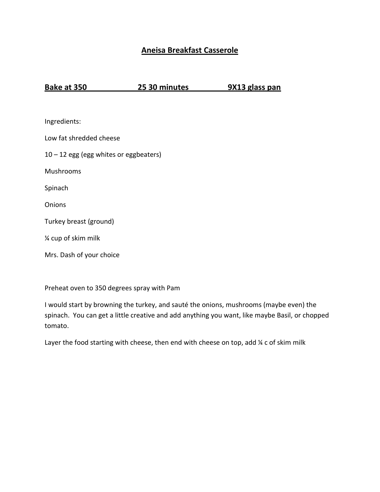## **Aneisa Breakfast Casserole**

**Bake at 350 25 30 minutes 9X13 glass pan**

| Ingredients:                             |
|------------------------------------------|
| Low fat shredded cheese                  |
| $10 - 12$ egg (egg whites or eggbeaters) |
| Mushrooms                                |
| Spinach                                  |
| Onions                                   |
| Turkey breast (ground)                   |
| 1/4 cup of skim milk                     |
| Mrs. Dash of your choice                 |

Preheat oven to 350 degrees spray with Pam

I would start by browning the turkey, and sauté the onions, mushrooms (maybe even) the spinach. You can get a little creative and add anything you want, like maybe Basil, or chopped tomato.

Layer the food starting with cheese, then end with cheese on top, add  $\frac{1}{4}$  c of skim milk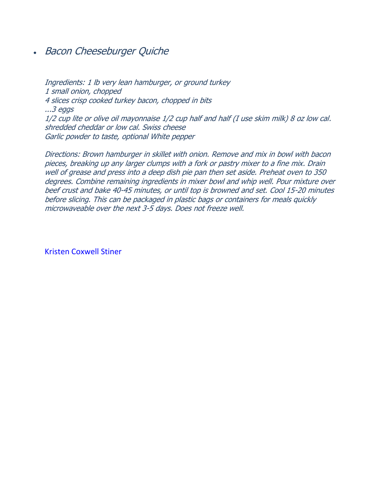• Bacon Cheeseburger Quiche

Ingredients: 1 lb very lean hamburger, or ground turkey 1 small onion, chopped 4 slices crisp cooked turkey bacon, chopped in bits ...3 eggs 1/2 cup lite or olive oil mayonnaise 1/2 cup half and half (I use skim milk) 8 oz low cal. shredded cheddar or low cal. Swiss cheese Garlic powder to taste, optional White pepper

Directions: Brown hamburger in skillet with onion. Remove and mix in bowl with bacon pieces, breaking up any larger clumps with a fork or pastry mixer to a fine mix. Drain well of grease and press into a deep dish pie pan then set aside. Preheat oven to 350 degrees. Combine remaining ingredients in mixer bowl and whip well. Pour mixture over beef crust and bake 40-45 minutes, or until top is browned and set. Cool 15-20 minutes before slicing. This can be packaged in plastic bags or containers for meals quickly microwaveable over the next 3-5 days. Does not freeze well.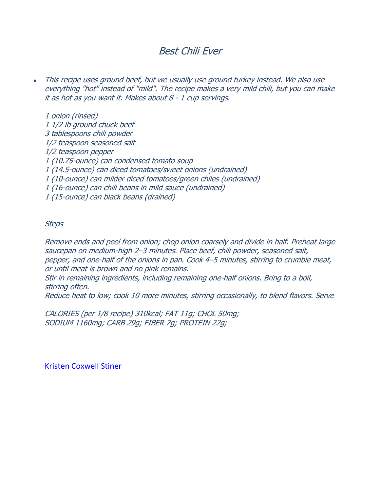# Best Chili Ever

This recipe uses ground beef, but we usually use ground turkey instead. We also use everything "hot" instead of "mild". The recipe makes a very mild chili, but you can make it as hot as you want it. Makes about 8 - 1 cup servings.

1 onion (rinsed) 1 1/2 lb ground chuck beef 3 tablespoons chili powder 1/2 teaspoon seasoned salt 1/2 teaspoon pepper 1 (10.75-ounce) can condensed tomato soup 1 (14.5-ounce) can diced tomatoes/sweet onions (undrained) 1 (10-ounce) can milder diced tomatoes/green chiles (undrained) 1 (16-ounce) can chili beans in mild sauce (undrained) 1 (15-ounce) can black beans (drained)

#### **Steps**

Remove ends and peel from onion; chop onion coarsely and divide in half. Preheat large saucepan on medium-high 2–3 minutes. Place beef, chili powder, seasoned salt, pepper, and one-half of the onions in pan. Cook 4–5 minutes, stirring to crumble meat, or until meat is brown and no pink remains.

Stir in remaining ingredients, including remaining one-half onions. Bring to a boil, stirring often.

Reduce heat to low; cook 10 more minutes, stirring occasionally, to blend flavors. Serve

CALORIES (per 1/8 recipe) 310kcal; FAT 11g; CHOL 50mg; SODIUM 1160mg; CARB 29g; FIBER 7g; PROTEIN 22g;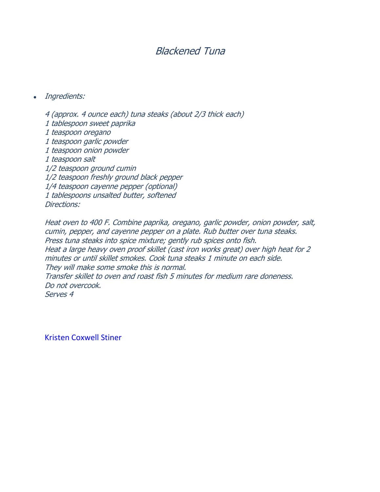# Blackened Tuna

Ingredients:

4 (approx. 4 ounce each) tuna steaks (about 2/3 thick each) 1 tablespoon sweet paprika 1 teaspoon oregano 1 teaspoon garlic powder 1 teaspoon onion powder 1 teaspoon salt 1/2 teaspoon ground cumin 1/2 teaspoon freshly ground black pepper 1/4 teaspoon cayenne pepper (optional) 1 tablespoons unsalted butter, softened Directions:

Heat oven to 400 F. Combine paprika, oregano, garlic powder, onion powder, salt, cumin, pepper, and cayenne pepper on a plate. Rub butter over tuna steaks. Press tuna steaks into spice mixture; gently rub spices onto fish. Heat a large heavy oven proof skillet (cast iron works great) over high heat for 2 minutes or until skillet smokes. Cook tuna steaks 1 minute on each side. They will make some smoke this is normal. Transfer skillet to oven and roast fish 5 minutes for medium rare doneness. Do not overcook. Serves 4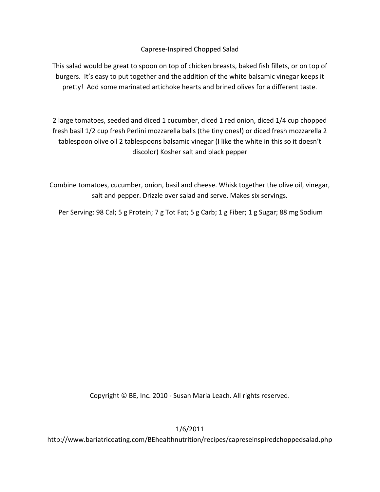### Caprese-Inspired Chopped Salad

This salad would be great to spoon on top of chicken breasts, baked fish fillets, or on top of burgers. It's easy to put together and the addition of the white balsamic vinegar keeps it pretty! Add some marinated artichoke hearts and brined olives for a different taste.

2 large tomatoes, seeded and diced 1 cucumber, diced 1 red onion, diced 1/4 cup chopped fresh basil 1/2 cup fresh Perlini mozzarella balls (the tiny ones!) or diced fresh mozzarella 2 tablespoon olive oil 2 tablespoons balsamic vinegar (I like the white in this so it doesn't discolor) Kosher salt and black pepper

Combine tomatoes, cucumber, onion, basil and cheese. Whisk together the olive oil, vinegar, salt and pepper. Drizzle over salad and serve. Makes six servings.

Per Serving: 98 Cal; 5 g Protein; 7 g Tot Fat; 5 g Carb; 1 g Fiber; 1 g Sugar; 88 mg Sodium

Copyright © BE, Inc. 2010 - Susan Maria Leach. All rights reserved.

1/6/2011

http://www.bariatriceating.com/BEhealthnutrition/recipes/capreseinspiredchoppedsalad.php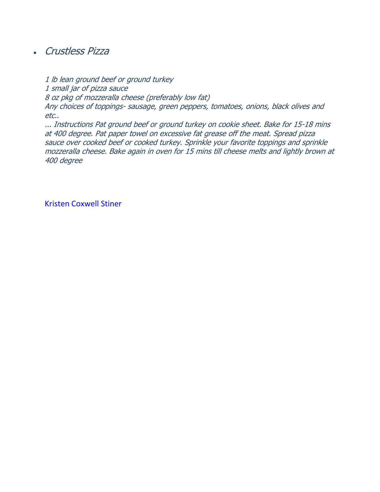# Crustless Pizza

1 lb lean ground beef or ground turkey 1 small jar of pizza sauce 8 oz pkg of mozzeralla cheese (preferably low fat) Any choices of toppings- sausage, green peppers, tomatoes, onions, black olives and etc..

... Instructions Pat ground beef or ground turkey on cookie sheet. Bake for 15-18 mins at 400 degree. Pat paper towel on excessive fat grease off the meat. Spread pizza sauce over cooked beef or cooked turkey. Sprinkle your favorite toppings and sprinkle mozzeralla cheese. Bake again in oven for 15 mins till cheese melts and lightly brown at 400 degree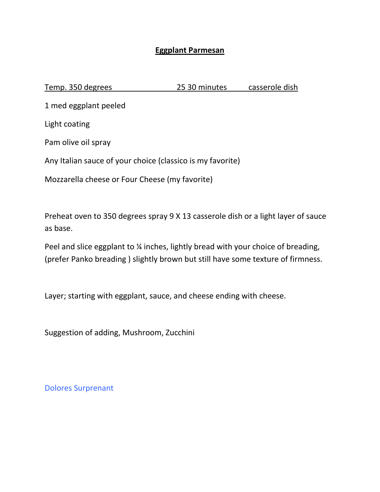## **Eggplant Parmesan**

Temp. 350 degrees 25 30 minutes casserole dish

1 med eggplant peeled

Light coating

Pam olive oil spray

Any Italian sauce of your choice (classico is my favorite)

Mozzarella cheese or Four Cheese (my favorite)

Preheat oven to 350 degrees spray 9 X 13 casserole dish or a light layer of sauce as base.

Peel and slice eggplant to % inches, lightly bread with your choice of breading, (prefer Panko breading ) slightly brown but still have some texture of firmness.

Layer; starting with eggplant, sauce, and cheese ending with cheese.

Suggestion of adding, Mushroom, Zucchini

Dolores Surprenant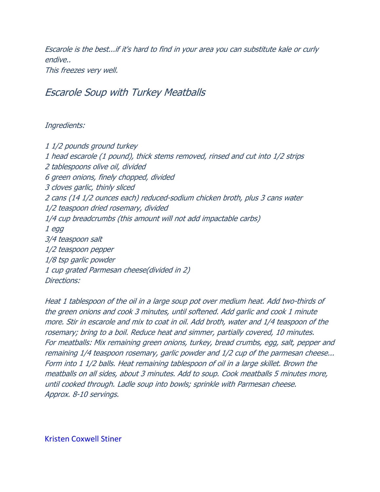Escarole is the best...if it's hard to find in your area you can substitute kale or curly endive.. This freezes very well.

## Escarole Soup with Turkey Meatballs

### Ingredients:

1 1/2 pounds ground turkey 1 head escarole (1 pound), thick stems removed, rinsed and cut into 1/2 strips 2 tablespoons olive oil, divided 6 green onions, finely chopped, divided 3 cloves garlic, thinly sliced 2 cans (14 1/2 ounces each) reduced-sodium chicken broth, plus 3 cans water 1/2 teaspoon dried rosemary, divided 1/4 cup breadcrumbs (this amount will not add impactable carbs) 1 egg 3/4 teaspoon salt 1/2 teaspoon pepper 1/8 tsp garlic powder 1 cup grated Parmesan cheese(divided in 2) Directions:

Heat 1 tablespoon of the oil in a large soup pot over medium heat. Add two-thirds of the green onions and cook 3 minutes, until softened. Add garlic and cook 1 minute more. Stir in escarole and mix to coat in oil. Add broth, water and 1/4 teaspoon of the rosemary; bring to a boil. Reduce heat and simmer, partially covered, 10 minutes. For meatballs: Mix remaining green onions, turkey, bread crumbs, egg, salt, pepper and remaining 1/4 teaspoon rosemary, garlic powder and 1/2 cup of the parmesan cheese... Form into 1 1/2 balls. Heat remaining tablespoon of oil in a large skillet. Brown the meatballs on all sides, about 3 minutes. Add to soup. Cook meatballs 5 minutes more, until cooked through. Ladle soup into bowls; sprinkle with Parmesan cheese. Approx. 8-10 servings.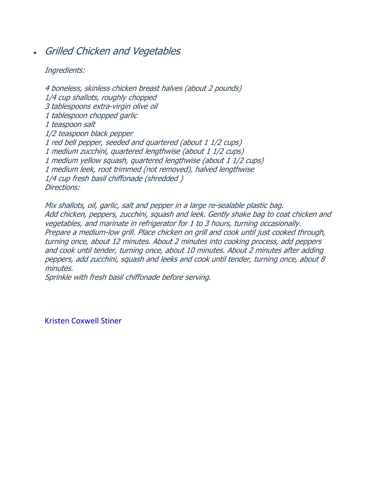# Grilled Chicken and Vegetables

### Ingredients:

4 boneless, skinless chicken breast halves (about 2 pounds) 1/4 cup shallots, roughly chopped 3 tablespoons extra-virgin olive oil 1 tablespoon chopped garlic 1 teaspoon salt 1/2 teaspoon black pepper 1 red bell pepper, seeded and quartered (about 1 1/2 cups) 1 medium zucchini, quartered lengthwise (about 1 1/2 cups) 1 medium yellow squash, quartered lengthwise (about 1 1/2 cups) 1 medium leek, root trimmed (not removed), halved lengthwise 1/4 cup fresh basil chiffonade (shredded ) Directions:

Mix shallots, oil, garlic, salt and pepper in a large re-sealable plastic bag. Add chicken, peppers, zucchini, squash and leek. Gently shake bag to coat chicken and vegetables, and marinate in refrigerator for 1 to 3 hours, turning occasionally. Prepare a medium-low grill. Place chicken on grill and cook until just cooked through, turning once, about 12 minutes. About 2 minutes into cooking process, add peppers and cook until tender, turning once, about 10 minutes. About 2 minutes after adding peppers, add zucchini, squash and leeks and cook until tender, turning once, about 8 minutes.

Sprinkle with fresh basil chiffonade before serving.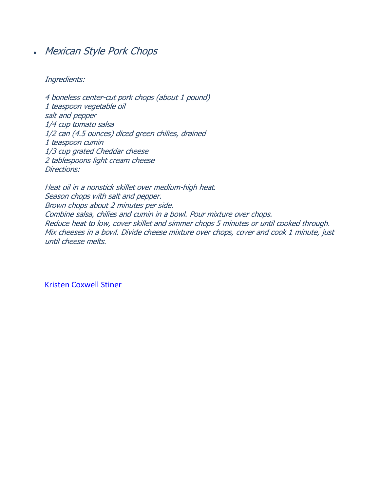Mexican Style Pork Chops

Ingredients:

4 boneless center-cut pork chops (about 1 pound) 1 teaspoon vegetable oil salt and pepper 1/4 cup tomato salsa 1/2 can (4.5 ounces) diced green chilies, drained 1 teaspoon cumin 1/3 cup grated Cheddar cheese 2 tablespoons light cream cheese Directions:

Heat oil in a nonstick skillet over medium-high heat. Season chops with salt and pepper. Brown chops about 2 minutes per side. Combine salsa, chilies and cumin in a bowl. Pour mixture over chops. Reduce heat to low, cover skillet and simmer chops 5 minutes or until cooked through. Mix cheeses in a bowl. Divide cheese mixture over chops, cover and cook 1 minute, just until cheese melts.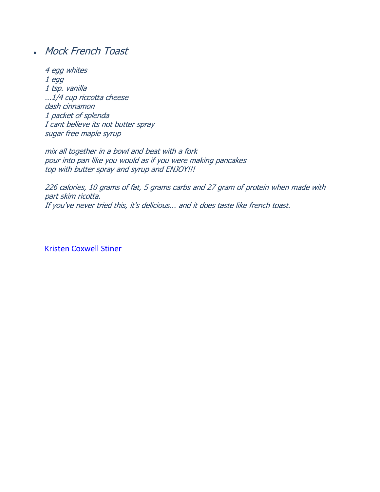# Mock French Toast

4 egg whites 1 egg 1 tsp. vanilla ...1/4 cup riccotta cheese dash cinnamon 1 packet of splenda I cant believe its not butter spray sugar free maple syrup

mix all together in a bowl and beat with a fork pour into pan like you would as if you were making pancakes top with butter spray and syrup and ENJOY!!!

226 calories, 10 grams of fat, 5 grams carbs and 27 gram of protein when made with part skim ricotta. If you've never tried this, it's delicious... and it does taste like french toast.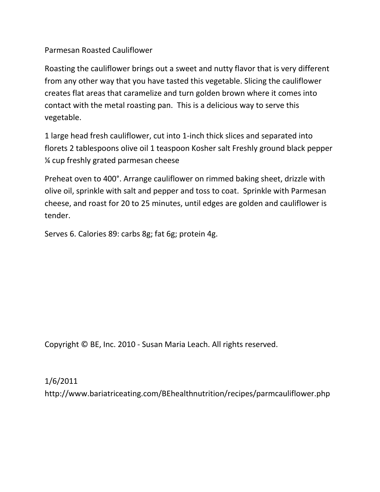## Parmesan Roasted Cauliflower

Roasting the cauliflower brings out a sweet and nutty flavor that is very different from any other way that you have tasted this vegetable. Slicing the cauliflower creates flat areas that caramelize and turn golden brown where it comes into contact with the metal roasting pan. This is a delicious way to serve this vegetable.

1 large head fresh cauliflower, cut into 1-inch thick slices and separated into florets 2 tablespoons olive oil 1 teaspoon Kosher salt Freshly ground black pepper ¼ cup freshly grated parmesan cheese

Preheat oven to 400°. Arrange cauliflower on rimmed baking sheet, drizzle with olive oil, sprinkle with salt and pepper and toss to coat. Sprinkle with Parmesan cheese, and roast for 20 to 25 minutes, until edges are golden and cauliflower is tender.

Serves 6. Calories 89: carbs 8g; fat 6g; protein 4g.

Copyright © BE, Inc. 2010 - Susan Maria Leach. All rights reserved.

1/6/2011

http://www.bariatriceating.com/BEhealthnutrition/recipes/parmcauliflower.php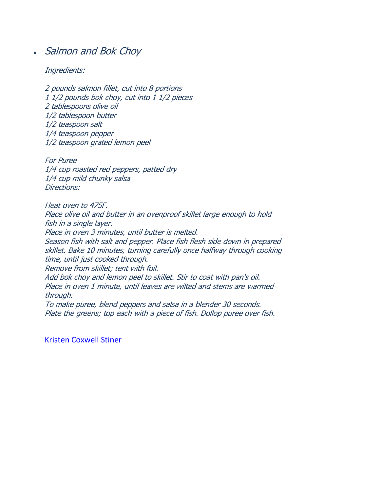# • Salmon and Bok Choy

#### Ingredients:

2 pounds salmon fillet, cut into 8 portions 1 1/2 pounds bok choy, cut into 1 1/2 pieces 2 tablespoons olive oil 1/2 tablespoon butter 1/2 teaspoon salt 1/4 teaspoon pepper 1/2 teaspoon grated lemon peel

For Puree 1/4 cup roasted red peppers, patted dry 1/4 cup mild chunky salsa Directions:

Heat oven to 475F. Place olive oil and butter in an ovenproof skillet large enough to hold fish in a single layer. Place in oven 3 minutes, until butter is melted. Season fish with salt and pepper. Place fish flesh side down in prepared skillet. Bake 10 minutes, turning carefully once halfway through cooking time, until just cooked through. Remove from skillet; tent with foil. Add bok choy and lemon peel to skillet. Stir to coat with pan's oil. Place in oven 1 minute, until leaves are wilted and stems are warmed through. To make puree, blend peppers and salsa in a blender 30 seconds. Plate the greens; top each with a piece of fish. Dollop puree over fish.